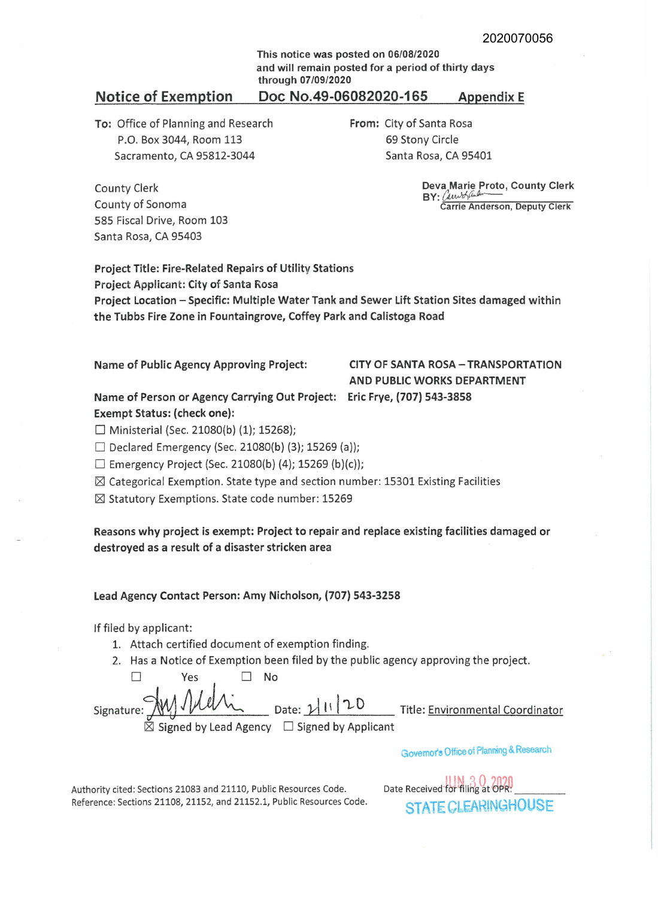**This notice was posted on 06/08/2020 and will remain posted for a period of thirty days through 07/09/2020** 

### Notice of Exemption **Doc No.49-06082020-165 Appendix E**

**To:** Office of Planning and Research P.O. Box 3044, Room 113 Sacramento, CA 95812-3044

**From:** City of Santa Rosa 69 Stony Circle Santa Rosa, CA 95401

County Clerk County of Sonoma 585 Fiscal Drive, Room 103 Santa Rosa, CA 95403

**Deva Marie Proto, County Clerk BY:** *() ,wJrfliJ,,---* Carrie Anderson, Deputy Clerk

Project Title: Fire-Related Repairs of Utility Stations Project Applicant: City of Santa Rosa Project Location - Specific: Multiple Water Tank and Sewer Lift Station Sites damaged within the Tubbs Fire Zone in Fountaingrove, Coffey Park and Calistoga Road

Name of Public Agency Approving Project: **CITY OF SANTA ROSA - TRANSPORTATION AND PUBLIC WORKS DEPARTMENT** 

**Name of Person or Agency Carrying Out Project: Eric Frye, (707) 543-3858 Exempt Status: (check one):** 

 $\Box$  Ministerial (Sec. 21080(b) (1); 15268);

 $\Box$  Declared Emergency (Sec. 21080(b) (3); 15269 (a));

 $\Box$  Emergency Project (Sec. 21080(b) (4); 15269 (b)(c));

 $\boxtimes$  Categorical Exemption. State type and section number: 15301 Existing Facilities

 $\boxtimes$  Statutory Exemptions. State code number: 15269

**Reasons why project is exempt: Project to repair and replace existing facilities damaged or destroyed as a result of a disaster stricken area** 

#### **Lead Agency Contact Person: Amy Nicholson, (707) 543-3258**

If filed by applicant:

- 1. Attach certified document of exemption finding.
- 2. Has a Notice of Exemption been filed by the public agency approving the project.

□ Yes □ No Signature: <u>My Allen Bate: 2 11 20</u> Title: <u>Environmental Coordinator</u>  $\boxtimes$  Signed by Lead Agency  $\quad \Box$  Signed by Applicant

Governor's Office of Planning & Research

Authority cited: Sections 21083 and 21110, Public Resources Code. Reference: Sections 21108, 21152, and 21152.1, Public Resources Code. Date Received for filing at OPR! **STATE CLEARINGHOUSE**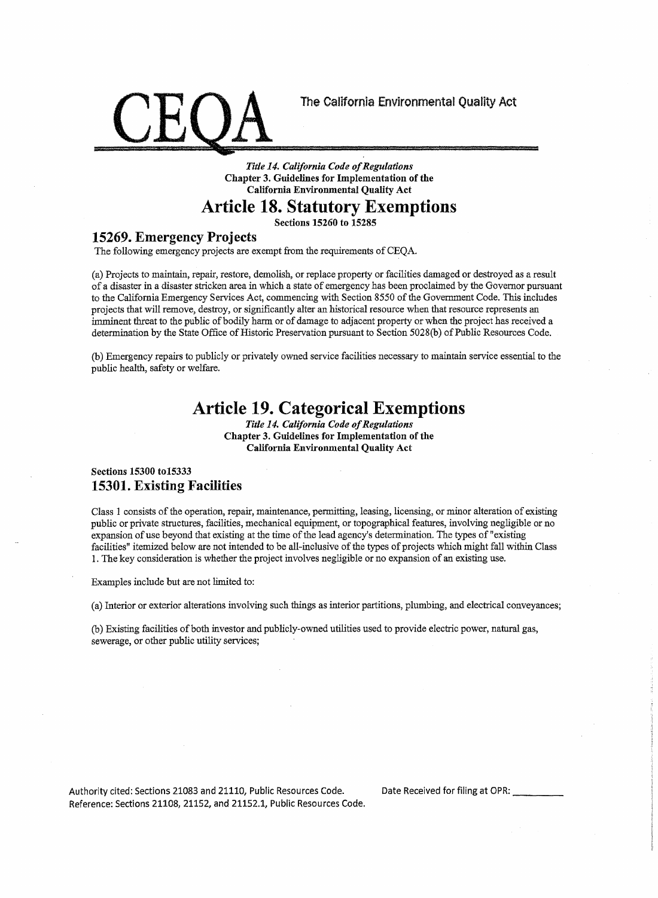

*Tide 14. California Code of Regulations*  **Chapter 3. Guidelines for Implementation of the California Environmental Quality Act** 

## **Article 18. Statutory Exemptions**

**Sections 15260 to 15285** 

#### **15269. Emergency Projects**

The following emergency projects are exempt from the requirements of CEQA.

(a) Projects to maintain, repair, restore, demolish, or replace property or facilities damaged or destroyed as a result of a disaster in a disaster stricken area in which a state of emergency has been proclaimed by the Governor pursuant to the California Emergency Services Act, commencing with Section 8550 of the Government Code. This includes projects that will remove, destroy, or significantly alter an historical resource when that resource represents an imminent threat to the public of bodily harm or of damage to adjacent property or when the project has received a determination by the State Office of Historic Preservation pursuant to Section 5028(b) of Public Resources Code.

(b) Emergency repairs to publicly or privately owned service facilities necessary to maintain service essential to the public health, safety or welfare.

# **Article 19. Categorical Exemptions**

*Title 14. California Code of Regulations*  **Chapter 3. Guidelines for Implementation of the California Environmental Quality Act** 

#### **Sections 15300 to15333 15301. Existing Facilities**

Class 1 consists of the operation, repair, maintenance, permitting, leasing, licensing, or minor alteration of existing public or private structures, facilities, mechanical equipment, or topographical features, involving negligible or no expansion of use beyond that existing at the time of the lead agency's determination. The types of "existing facilities" itemized below are not intended to be all-inclusive of the types of projects which might fall within Class 1. The key consideration is whether the project involves negligible or no expansion of an existing use.

Examples include but are not limited to:

(a) Interior or exterior alterations involving such things as interior partitions, plumbing, and electrical conveyances;

(b) Existing facilities of both investor and publicly-owned utilities used to provide electric power, natural gas, sewerage, or other public utility services;

Authority cited: Sections 21083 and 21110, Public Resources Code. Date Received for filing at OPR: \_\_\_ \_ Reference: Sections 21108, 21152, and 21152.1, Public Resources Code.